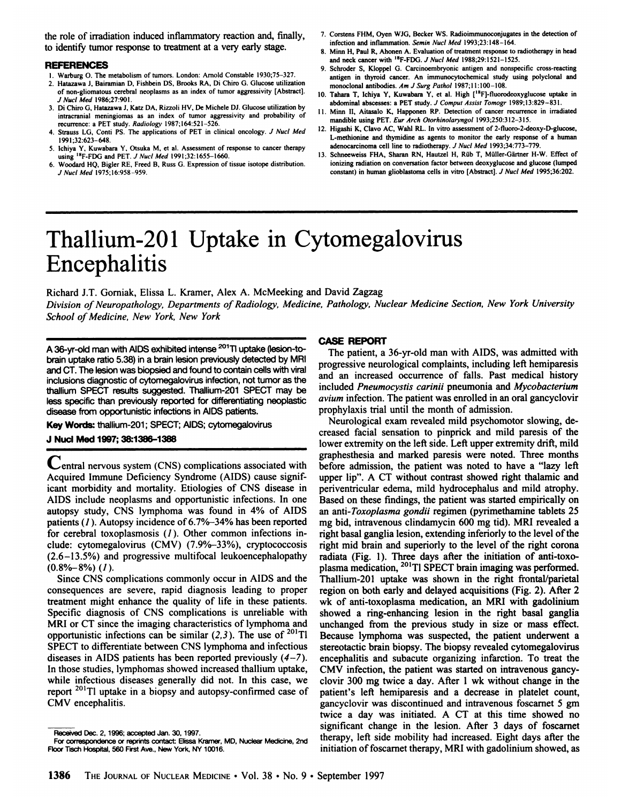the role of irradiation induced inflammatory reaction and, finally, to identify tumor response to treatment at a very early stage.

### **REFERENCES**

- 1. Warburg O. The metabolism of tumors. London: Arnold Constable 1930;75-327.
- 2. Hatazawa J, Bairamian D, Fishbein DS, Brooks RA, Di Chiro G. Glucose utilization **of non-gliomatous cerebral neoplasms as an index of tumor aggressivity [Abstract].** *J NucÃ-Med 1986;27:901.*
- 3. Di Ghiro G, Hatazawa J, Katz DA, Rizzoli HV, De Michele DJ. Glucose utilization by imracranial meningiomas as an index of tumor aggressivity and probability of recurrence: a PET study. Radiology 1987;164:521-526.
- 4. Strauss LG, Conti PS. The applications of PET in clinical oncology. J Nucl Med 1991;32:623-648.
- 5. Ichiya Y, Kuwabara Y, Otsuka M, et al. Assessment of response to cancer therapy using <sup>18</sup>F-FDG and PET. J Nucl Med 1991;32:1655-1660.
- 6. Woodard HQ, Bigler RE. Freed B, RUSSG. Expression of tissue isotope distribution. *J NucÃ-Med 1975; 16:958-959.*
- 7. Corstens FHM. Oyen WJG, Becker WS. Radioimmunoconjugates in the detection of infection and inflammation. Semin Nucl Med 1993;23:148-164.
- 8. Minn H, Paul R, Ahonen A. Evaluation of treatment response to radiotherapy in head and neck cancer with  $^{18}$ F-FDG. J Nucl Med 1988:29:1521-1525.
- 9. Schroder S, Klöppel G. Carcinoembryonic antigen and nonspecific cross-reacting antigen in thyroid cancer. An immunocytochemical study using polyclonal and monoclonal antibodies. Am J Surg Pathol 1987;11:100-108.
- 10. Tahara T, Ichiya Y. Kuwabara Y, et al. High ['\*F]-fluorodeoxyglucose uptake in abdominal abscesses: a PET study. J Comput Assist Tomogr 1989;13:829-831.
- 11. Minn II, Aitasalo K, Happonen RP. Detection of cancer recurrence in irradiated mandible using PET. Eur Arch Otorhinolaryngol 1993;250:312-315.
- 12. Higashi K, Clavo AC, Wahl RL. In vitro assessment of 2-fluoro-2-deoxy-D-gIucose, L-methionine and thymidine as agents to monitor the early response of a human adenocarcinoma cell line to radiotherapy. J Nucl Med 1993;34:773-779.
- 13. Schneeweiss FHA, Sharan RN, Hautzel H, Rüb T, Müller-Gärtner H-W. Effect of ionizing radiation on conversation factor between deoxyglucose and glucose (lumped constant) in human glioblastoma cells in vitro [Abstract]. J Nucl Med 1995;36:202.

# Thallium-201 Uptake in Cytomegalovirus Encephalitis

Richard J.T. Gorniak, Elissa L.Kramer, Alex A. McMeeking and David Zagzag *Division of Neuropathology, Departments of Radiology, Medicine, Pathology, Nuclear Medicine Section, New York University School of Medicine, New York, New York*

A 36-yr-old man with AIDS exhibited intense <sup>201</sup>TI uptake (lesion-tobrain uptake ratio 5.38) in a brain lesion previously detected by MRI and CT. The lesion was biopsied and found to contain cells with viral inclusions diagnostic of cytomegalovirus infection, not tumor as the thallium SPECT results suggested. Thallium-201 SPECT may be less specific than previously reported for differentiating neoplastic disease from opportunistic infections in AIDS patients.

**Key Words: thallium-201; SPECT; AIDS; cytomegalovirus**

## **J NucÃ-Med 1997; 38:1386-1388**

v^entral nervous system (CNS) complications associated with Acquired Immune Deficiency Syndrome (AIDS) cause signif icant morbidity and mortality. Etiologies of CNS disease in AIDS include neoplasms and opportunistic infections. In one autopsy study, CNS lymphoma was found in 4% of AIDS patients (/ ). Autopsy incidence of 6.7%-34% has been reported for cerebral toxoplasmosis  $(1)$ . Other common infections include: cytomegalovirus (CMV) (7.9%-33%), cryptococcosis (2.6-13.5%) and progressive multifocal leukoencephalopathy  $(0.8\% - 8\%)$  (1).

Since CNS complications commonly occur in AIDS and the consequences are severe, rapid diagnosis leading to proper treatment might enhance the quality of life in these patients. Specific diagnosis of CNS complications is unreliable with MRI or CT since the imaging characteristics of lymphoma and opportunistic infections can be similar  $(2,3)$ . The use of <sup>201</sup>Tl SPECT to differentiate between CNS lymphoma and infectious diseases in AIDS patients has been reported previously  $(4-7)$ . In those studies, lymphomas showed increased thallium uptake, while infectious diseases generally did not. In this case, we report  $201$ T1 uptake in a biopsy and autopsy-confirmed case of CMV encephalitis.

## **CASE REPORT**

The patient, a 36-yr-old man with AIDS, was admitted with progressive neurological complaints, including left hemiparesis and an increased occurrence of falls. Past medical history included Pneumocystis carinii pneumonia and Mycobacterium *avium infection. The patient was enrolled in an oral gancyclovir* prophylaxis trial until the month of admission.

Neurological exam revealed mild psychomotor slowing, de creased facial sensation to pinprick and mild paresis of the lower extremity on the left side. Left upper extremity drift, mild graphesthesia and marked paresis were noted. Three months before admission, the patient was noted to have a "lazy left upper lip". A CT without contrast showed right thalamic and periventricular edema, mild hydrocephalus and mild atrophy. Based on these findings, the patient was started empirically on an anü-Toxoplasma gondii regimen (pyrimethamine tablets 25 mg bid, intravenous clindamycin 600 mg tid). MRI revealed a right basal ganglia lesion, extending inferiorly to the level of the right mid brain and superiorly to the level of the right corona radiata (Fig. 1). Three days after the initiation of anti-toxoplasma medication, <sup>201</sup>Tl SPECT brain imaging was performed. Thallium-201 uptake was shown in the right frontal/parietal region on both early and delayed acquisitions (Fig. 2). After 2 wk of anti-toxoplasma medication, an MRI with gadolinium showed a ring-enhancing lesion in the right basal ganglia unchanged from the previous study in size or mass effect. Because lymphoma was suspected, the patient underwent a stereotactic brain biopsy. The biopsy revealed cytomegalovirus encephalitis and subacute organizing infarction. To treat the CMV infection, the patient was started on intravenous gancy clovir 300 mg twice a day. After 1 wk without change in the patient's left hemiparesis and a decrease in platelet count, gancyclovir was discontinued and intravenous foscarnet 5 gm twice a day was initiated. A CT at this time showed no significant change in the lesion. After 3 days of foscarnet therapy, left side mobility had increased. Eight days after the initiation of foscarnet therapy, MRI with gadolinium showed, as

Received Dec. 2, 1996; accepted Jan. 30, 1997.

For correspondence or reprints contact: Elissa Kramer, MD, Nuclear Medicine, 2nd Floor Tisch Hospital, 560 First Ave., New York, NY 10016.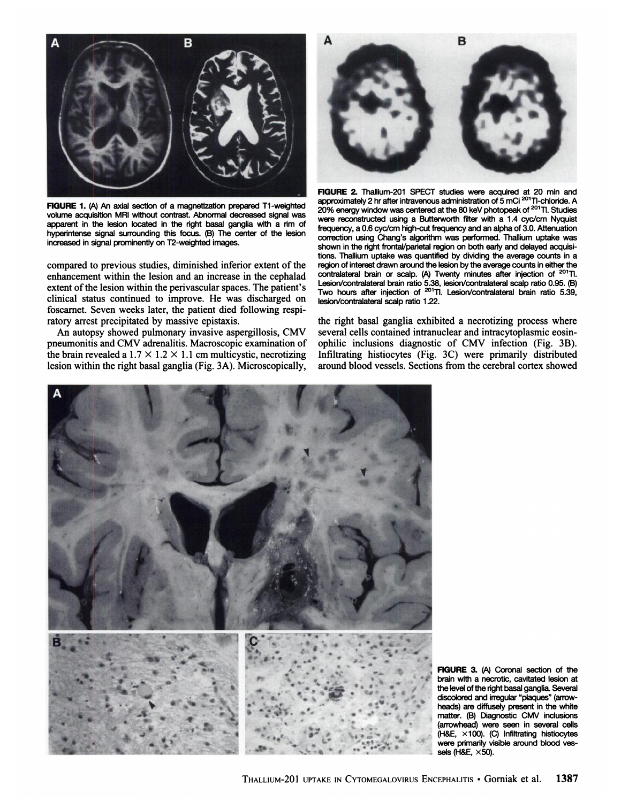

**FIGURE 1.** (A) An axial section of a magnetization prepared T1-weighted volume acquisition MRI without contrast. Abnormal decreased signal was apparent in the lesion located in the right basal ganglia with a rim of hyperintense signal surrounding this focus. (B) The center of the lesion increased in signal prominently on T2-weighted images.

compared to previous studies, diminished inferior extent of the enhancement within the lesion and an increase in the cephalad extent of the lesion within the perivascular spaces. The patient's clinical status continued to improve. He was discharged on foscarnet. Seven weeks later, the patient died following respi ratory arrest precipitated by massive epistaxis.

An autopsy showed pulmonary invasive aspergillosis, CMV pneumonitis and CMV adrenalitis. Macroscopic examination of the brain revealed a  $1.7 \times 1.2 \times 1.1$  cm multicystic, necrotizing lesion within the right basal ganglia (Fig. 3A). Microscopically,



**FIGURE 2. Thallium-201 SPECT studies were acquired at 20 min and** approximately 2 hr after intravenous administration of 5 mCi 201TI-chloride. A 20% energy window was centered at the 80 keV photopeak of <sup>201</sup>Tl. Studies were reconstructed using a Butterworth filter with a 1.4 cyc/cm Nyquist frequency, a 0.6 cyc/cm high-cut frequency and an alpha of 3.0. Attenuation correction using Chang's algorithm was performed. Thallium uptake was shown in the right frontal/parietal region on both early and delayed acquisi tions. Thallium uptake was quantified by dividing the average counts in a region of interest drawn around the lesion by the average counts in either the contralateral brain or scalp. (A) Twenty minutes after injection of <sup>201</sup>Tl. Lesion/contralateral brain ratio 5.38, lesion/contralateral scalp ratio 0.95. (B) Two hours after injection of <sup>201</sup>TI. Lesion/contralateral brain ratio 5.39, lesion/contralateral scalp ratio 1.22.

the right basal ganglia exhibited a necrotizing process where several cells contained intranuclear and intracytoplasmic eosinophilic inclusions diagnostic of CMV infection (Fig. 3B). Infiltrating histiocytes (Fig. 3C) were primarily distributed around blood vessels. Sections from the cerebral cortex showed



**FIGURE 3. (A) Coronal section of the** brain with a necrotic, cavitated lesion at the level of the right basal ganglia. Several discolored and irregular "plaques" (arrow heads) are diffusely present in the white matter. (B) Diagnostic CMV inclusions (arrowhead) were seen in several cells (H&E, X100). (C) Infiltrating histiocytes were primarily visible around blood ves sels (H&E,  $\times$ 50).